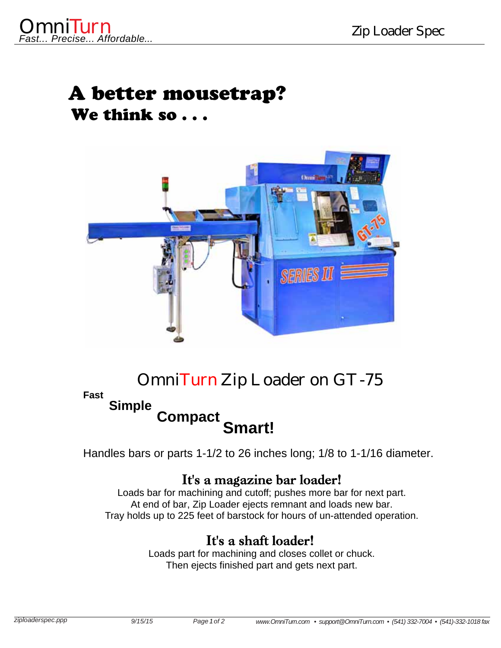# A better mousetrap? We think so . . .



### Omni*Turn* Zip Loader on GT-75

#### **Fast**

# **Simple Compact Smart!**

Handles bars or parts 1-1/2 to 26 inches long; 1/8 to 1-1/16 diameter.

### It's a magazine bar loader!

Loads bar for machining and cutoff; pushes more bar for next part. At end of bar, Zip Loader ejects remnant and loads new bar. Tray holds up to 225 feet of barstock for hours of un-attended operation.

### It's a shaft loader!

Loads part for machining and closes collet or chuck. Then ejects finished part and gets next part.